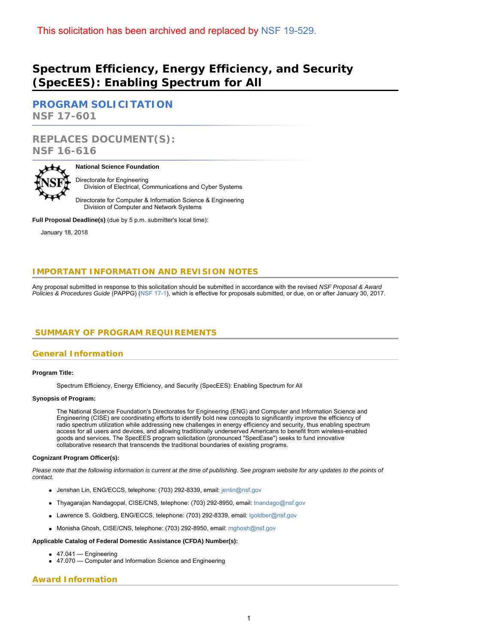# **Spectrum Efficiency, Energy Efficiency, and Security (SpecEES): Enabling Spectrum for All**

**[PROGRAM SOLICITATION](#page-2-0) NSF 17-601**

**REPLACES DOCUMENT(S): NSF 16-616**



### **National Science Foundation**

Directorate for Engineering Division of Electrical, Communications and Cyber Systems

Directorate for Computer & Information Science & Engineering Division of Computer and Network Systems

**Full Proposal Deadline(s)** (due by 5 p.m. submitter's local time):

January 18, 2018

# **IMPORTANT INFORMATION AND REVISION NOTES**

Any proposal submitted in response to this solicitation should be submitted in accordance with the revised *NSF Proposal & Award Policies & Procedures Guide* (PAPPG) ([NSF 17-1\)](https://www.nsf.gov/publications/pub_summ.jsp?ods_key=nsf17001), which is effective for proposals submitted, or due, on or after January 30, 2017.

# <span id="page-0-0"></span>**SUMMARY OF PROGRAM REQUIREMENTS**

### **General Information**

### **Program Title:**

Spectrum Efficiency, Energy Efficiency, and Security (SpecEES): Enabling Spectrum for All

### **Synopsis of Program:**

The National Science Foundation's Directorates for Engineering (ENG) and Computer and Information Science and Engineering (CISE) are coordinating efforts to identify bold new concepts to significantly improve the efficiency of radio spectrum utilization while addressing new challenges in energy efficiency and security, thus enabling spectrum access for all users and devices, and allowing traditionally underserved Americans to benefit from wireless-enabled goods and services. The SpecEES program solicitation (pronounced "SpecEase") seeks to fund innovative collaborative research that transcends the traditional boundaries of existing programs.

### **Cognizant Program Officer(s):**

*Please note that the following information is current at the time of publishing. See program website for any updates to the points of contact.*

- Jenshan Lin, ENG/ECCS, telephone: (703) 292-8339, email: [jenlin@nsf.gov](mailto:jenlin@nsf.gov)
- Thyagarajan Nandagopal, CISE/CNS, telephone: (703) 292-8950, email: [tnandago@nsf.gov](mailto:tnandago@nsf.gov)
- Lawrence S. Goldberg, ENG/ECCS, telephone: (703) 292-8339, email: [lgoldber@nsf.gov](mailto:lgoldber@nsf.gov)
- Monisha Ghosh, CISE/CNS, telephone: (703) 292-8950, email: [mghosh@nsf.gov](mailto:mghosh@nsf.gov)

### **Applicable Catalog of Federal Domestic Assistance (CFDA) Number(s):**

- $-47.041 -$ Engineering
- 47.070 --- Computer and Information Science and Engineering

# **Award Information**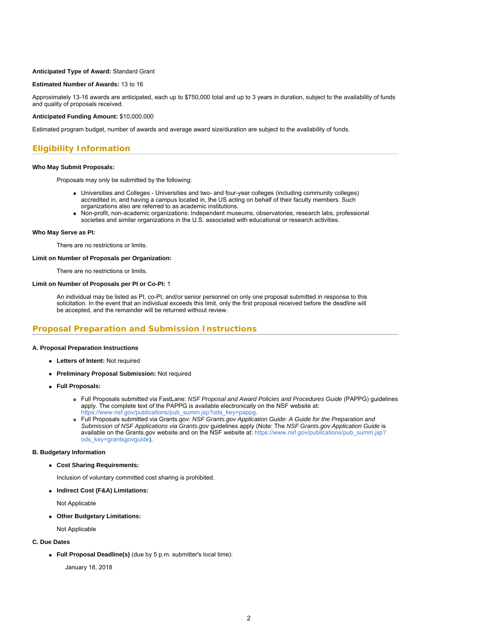### **Anticipated Type of Award:** Standard Grant

### **Estimated Number of Awards:** 13 to 16

Approximately 13-16 awards are anticipated, each up to \$750,000 total and up to 3 years in duration, subject to the availability of funds and quality of proposals received.

### **Anticipated Funding Amount:** \$10,000,000

Estimated program budget, number of awards and average award size/duration are subject to the availability of funds.

### **Eligibility Information**

### **Who May Submit Proposals:**

Proposals may only be submitted by the following:

- Universities and Colleges Universities and two- and four-year colleges (including community colleges) accredited in, and having a campus located in, the US acting on behalf of their faculty members. Such organizations also are referred to as academic institutions.
- Non-profit, non-academic organizations: Independent museums, observatories, research labs, professional societies and similar organizations in the U.S. associated with educational or research activities.

#### **Who May Serve as PI:**

There are no restrictions or limits.

### **Limit on Number of Proposals per Organization:**

There are no restrictions or limits.

### **Limit on Number of Proposals per PI or Co-PI:** 1

An individual may be listed as PI, co-PI, and/or senior personnel on only one proposal submitted in response to this solicitation. In the event that an individual exceeds this limit, only the first proposal received before the deadline will be accepted, and the remainder will be returned without review.

### **Proposal Preparation and Submission Instructions**

### **A. Proposal Preparation Instructions**

- **Letters of Intent:** Not required
- **Preliminary Proposal Submission:** Not required
- **Full Proposals:**
	- Full Proposals submitted via FastLane: *NSF Proposal and Award Policies and Procedures Guide* (PAPPG) guidelines apply. The complete text of the PAPPG is available electronically on the NSF website at: [https://www.nsf.gov/publications/pub\\_summ.jsp?ods\\_key=pappg.](https://www.nsf.gov/publications/pub_summ.jsp?ods_key=pappg)
	- Full Proposals submitted via Grants.gov: *NSF Grants.gov Application Guide: A Guide for the Preparation and Submission of NSF Applications via Grants.gov* guidelines apply (Note: The *NSF Grants.gov Application Guide* is available on the Grants.gov website and on the NSF website at: [https://www.nsf.gov/publications/pub\\_summ.jsp?](https://www.nsf.gov/publications/pub_summ.jsp?ods_key=grantsgovguide) [ods\\_key=grantsgovguide](https://www.nsf.gov/publications/pub_summ.jsp?ods_key=grantsgovguide)).

### **B. Budgetary Information**

**Cost Sharing Requirements:**

Inclusion of voluntary committed cost sharing is prohibited.

**Indirect Cost (F&A) Limitations:**

Not Applicable

**Other Budgetary Limitations:**

Not Applicable

### **C. Due Dates**

**Full Proposal Deadline(s)** (due by 5 p.m. submitter's local time):

January 18, 2018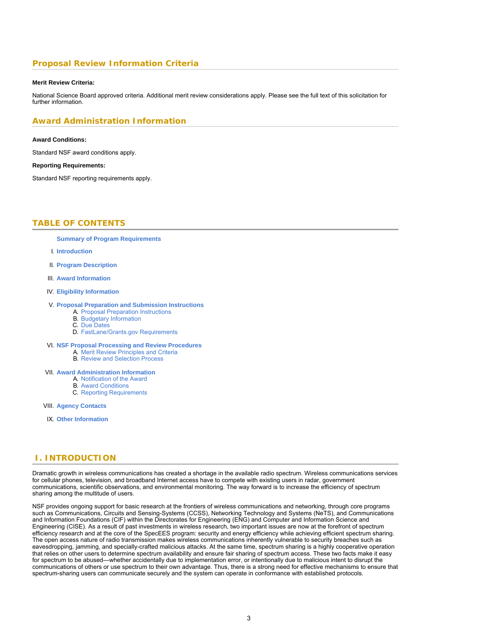# **Proposal Review Information Criteria**

#### **Merit Review Criteria:**

National Science Board approved criteria. Additional merit review considerations apply. Please see the full text of this solicitation for further information.

### **Award Administration Information**

### **Award Conditions:**

Standard NSF award conditions apply.

#### **Reporting Requirements:**

<span id="page-2-0"></span>Standard NSF reporting requirements apply.

# **TABLE OF CONTENTS**

**[Summary of Program Requirements](#page-0-0)**

- I. **[Introduction](#page-2-1)**
- II. **[Program Description](#page-3-0)**
- III. **[Award Information](#page-4-0)**
- IV. **[Eligibility Information](#page-4-1)**

#### V. **[Proposal Preparation and Submission Instructions](#page-4-2)**

- A. [Proposal Preparation Instructions](#page-4-2)
- B. [Budgetary Information](#page-5-0) C. [Due Dates](#page-5-1)
- D. [FastLane/Grants.gov Requirements](#page-5-2)
- VI. **[NSF Proposal Processing and Review Procedures](#page-6-0)**
	- A. [Merit Review Principles and Criteria](#page-6-1)
	- B. [Review and Selection Process](#page-7-0)

#### VII. **[Award Administration Information](#page-8-0)**

- A. [Notification of the Award](#page-8-1)
- B. [Award Conditions](#page-8-2)
- C. [Reporting Requirements](#page-8-3)

VIII. **[Agency Contacts](#page-8-4)**

IX. **[Other Information](#page-9-0)**

# <span id="page-2-1"></span>**I. INTRODUCTION**

Dramatic growth in wireless communications has created a shortage in the available radio spectrum. Wireless communications services for cellular phones, television, and broadband Internet access have to compete with existing users in radar, government communications, scientific observations, and environmental monitoring. The way forward is to increase the efficiency of spectrum sharing among the multitude of users.

NSF provides ongoing support for basic research at the frontiers of wireless communications and networking, through core programs such as Communications, Circuits and Sensing-Systems (CCSS), Networking Technology and Systems (NeTS), and Communications and Information Foundations (CIF) within the Directorates for Engineering (ENG) and Computer and Information Science and Engineering (CISE). As a result of past investments in wireless research, two important issues are now at the forefront of spectrum efficiency research and at the core of the SpecEES program: security and energy efficiency while achieving efficient spectrum sharing. The open access nature of radio transmission makes wireless communications inherently vulnerable to security breaches such as eavesdropping, jamming, and specially-crafted malicious attacks. At the same time, spectrum sharing is a highly cooperative operation that relies on other users to determine spectrum availability and ensure fair sharing of spectrum access. These two facts make it easy for spectrum to be abused—whether accidentally due to implementation error, or intentionally due to malicious intent to disrupt the communications of others or use spectrum to their own advantage. Thus, there is a strong need for effective mechanisms to ensure that spectrum-sharing users can communicate securely and the system can operate in conformance with established protocols.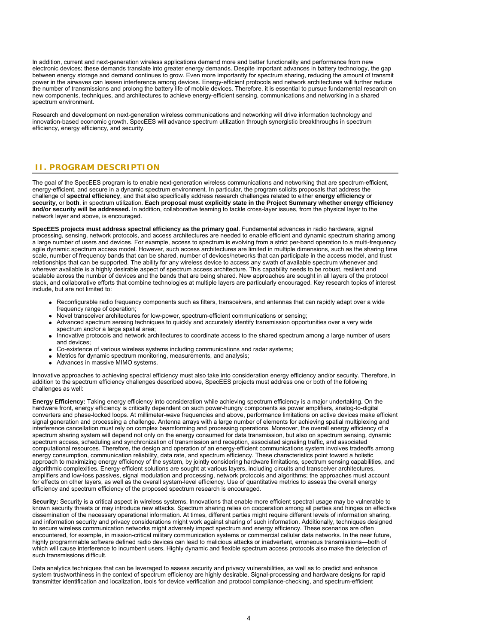In addition, current and next-generation wireless applications demand more and better functionality and performance from new electronic devices; these demands translate into greater energy demands. Despite important advances in battery technology, the gap between energy storage and demand continues to grow. Even more importantly for spectrum sharing, reducing the amount of transmit power in the airwaves can lessen interference among devices. Energy-efficient protocols and network architectures will further reduce the number of transmissions and prolong the battery life of mobile devices. Therefore, it is essential to pursue fundamental research on new components, techniques, and architectures to achieve energy-efficient sensing, communications and networking in a shared spectrum environment.

Research and development on next-generation wireless communications and networking will drive information technology and innovation-based economic growth. SpecEES will advance spectrum utilization through synergistic breakthroughs in spectrum efficiency, energy efficiency, and security.

# <span id="page-3-0"></span>**II. PROGRAM DESCRIPTION**

The goal of the SpecEES program is to enable next-generation wireless communications and networking that are spectrum-efficient, energy-efficient, and secure in a dynamic spectrum environment. In particular, the program solicits proposals that address the challenge of **spectral efficiency**, and that also specifically address research challenges related to either **energy efficiency** or **security**, or **both**, in spectrum utilization. **Each proposal must explicitly state in the Project Summary whether energy efficiency and/or security will be addressed.** In addition, collaborative teaming to tackle cross-layer issues, from the physical layer to the network layer and above, is encouraged.

**SpecEES projects must address spectral efficiency as the primary goal**. Fundamental advances in radio hardware, signal processing, sensing, network protocols, and access architectures are needed to enable efficient and dynamic spectrum sharing among a large number of users and devices. For example, access to spectrum is evolving from a strict per-band operation to a multi-frequency agile dynamic spectrum access model. However, such access architectures are limited in multiple dimensions, such as the sharing time scale, number of frequency bands that can be shared, number of devices/networks that can participate in the access model, and trust relationships that can be supported. The ability for any wireless device to access any swath of available spectrum whenever and wherever available is a highly desirable aspect of spectrum access architecture. This capability needs to be robust, resilient and scalable across the number of devices and the bands that are being shared. New approaches are sought in all layers of the protocol stack, and collaborative efforts that combine technologies at multiple layers are particularly encouraged. Key research topics of interest include, but are not limited to:

- Reconfigurable radio frequency components such as filters, transceivers, and antennas that can rapidly adapt over a wide frequency range of operation;
- Novel transceiver architectures for low-power, spectrum-efficient communications or sensing;
- Advanced spectrum sensing techniques to quickly and accurately identify transmission opportunities over a very wide spectrum and/or a large spatial area;
- Innovative protocols and network architectures to coordinate access to the shared spectrum among a large number of users and devices;
- Co-existence of various wireless systems including communications and radar systems;
- Metrics for dynamic spectrum monitoring, measurements, and analysis;
- Advances in massive MIMO systems.

Innovative approaches to achieving spectral efficiency must also take into consideration energy efficiency and/or security. Therefore, in addition to the spectrum efficiency challenges described above, SpecEES projects must address one or both of the following challenges as well:

**Energy Efficiency:** Taking energy efficiency into consideration while achieving spectrum efficiency is a major undertaking. On the hardware front, energy efficiency is critically dependent on such power-hungry components as power amplifiers, analog-to-digital converters and phase-locked loops. At millimeter-wave frequencies and above, performance limitations on active devices make efficient signal generation and processing a challenge. Antenna arrays with a large number of elements for achieving spatial multiplexing and interference cancellation must rely on complex beamforming and processing operations. Moreover, the overall energy efficiency of a spectrum sharing system will depend not only on the energy consumed for data transmission, but also on spectrum sensing, dynamic spectrum access, scheduling and synchronization of transmission and reception, associated signaling traffic, and associated computational resources. Therefore, the design and operation of an energy-efficient communications system involves tradeoffs among energy consumption, communication reliability, data rate, and spectrum efficiency. These characteristics point toward a holistic approach to maximizing energy efficiency of the system, by jointly considering hardware limitations, spectrum sensing capabilities, and algorithmic complexities. Energy-efficient solutions are sought at various layers, including circuits and transceiver architectures, amplifiers and low-loss passives, signal modulation and processing, network protocols and algorithms; the approaches must account for effects on other layers, as well as the overall system-level efficiency. Use of quantitative metrics to assess the overall energy efficiency and spectrum efficiency of the proposed spectrum research is encouraged.

**Security:** Security is a critical aspect in wireless systems. Innovations that enable more efficient spectral usage may be vulnerable to known security threats or may introduce new attacks. Spectrum sharing relies on cooperation among all parties and hinges on effective dissemination of the necessary operational information. At times, different parties might require different levels of information sharing, and information security and privacy considerations might work against sharing of such information. Additionally, techniques designed to secure wireless communication networks might adversely impact spectrum and energy efficiency. These scenarios are often encountered, for example, in mission-critical military communication systems or commercial cellular data networks. In the near future, highly programmable software defined radio devices can lead to malicious attacks or inadvertent, erroneous transmissions—both of which will cause interference to incumbent users. Highly dynamic and flexible spectrum access protocols also make the detection of such transmissions difficult.

Data analytics techniques that can be leveraged to assess security and privacy vulnerabilities, as well as to predict and enhance system trustworthiness in the context of spectrum efficiency are highly desirable. Signal-processing and hardware designs for rapid transmitter identification and localization, tools for device verification and protocol compliance-checking, and spectrum-efficient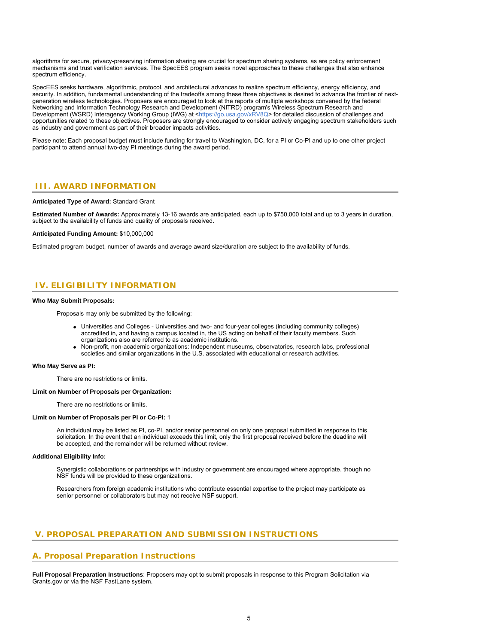algorithms for secure, privacy-preserving information sharing are crucial for spectrum sharing systems, as are policy enforcement mechanisms and trust verification services. The SpecEES program seeks novel approaches to these challenges that also enhance spectrum efficiency.

SpecEES seeks hardware, algorithmic, protocol, and architectural advances to realize spectrum efficiency, energy efficiency, and security. In addition, fundamental understanding of the tradeoffs among these three objectives is desired to advance the frontier of nextgeneration wireless technologies. Proposers are encouraged to look at the reports of multiple workshops convened by the federal Networking and Information Technology Research and Development (NITRD) program's Wireless Spectrum Research and Development (WSRD) Interagency Working Group (IWG) at <<https://go.usa.gov/xRV8Q>> for detailed discussion of challenges and opportunities related to these objectives. Proposers are strongly encouraged to consider actively engaging spectrum stakeholders such as industry and government as part of their broader impacts activities.

Please note: Each proposal budget must include funding for travel to Washington, DC, for a PI or Co-PI and up to one other project participant to attend annual two-day PI meetings during the award period.

### <span id="page-4-0"></span>**III. AWARD INFORMATION**

### **Anticipated Type of Award:** Standard Grant

**Estimated Number of Awards:** Approximately 13-16 awards are anticipated, each up to \$750,000 total and up to 3 years in duration, subject to the availability of funds and quality of proposals received.

#### **Anticipated Funding Amount:** \$10,000,000

Estimated program budget, number of awards and average award size/duration are subject to the availability of funds.

# <span id="page-4-1"></span>**IV. ELIGIBILITY INFORMATION**

#### **Who May Submit Proposals:**

Proposals may only be submitted by the following:

- Universities and Colleges Universities and two- and four-year colleges (including community colleges) accredited in, and having a campus located in, the US acting on behalf of their faculty members. Such organizations also are referred to as academic institutions.
- Non-profit, non-academic organizations: Independent museums, observatories, research labs, professional societies and similar organizations in the U.S. associated with educational or research activities.

#### **Who May Serve as PI:**

There are no restrictions or limits.

#### **Limit on Number of Proposals per Organization:**

There are no restrictions or limits.

#### **Limit on Number of Proposals per PI or Co-PI:** 1

An individual may be listed as PI, co-PI, and/or senior personnel on only one proposal submitted in response to this solicitation. In the event that an individual exceeds this limit, only the first proposal received before the deadline will be accepted, and the remainder will be returned without review.

#### **Additional Eligibility Info:**

Synergistic collaborations or partnerships with industry or government are encouraged where appropriate, though no NSF funds will be provided to these organizations.

Researchers from foreign academic institutions who contribute essential expertise to the project may participate as senior personnel or collaborators but may not receive NSF support.

## <span id="page-4-2"></span>**V. PROPOSAL PREPARATION AND SUBMISSION INSTRUCTIONS**

### **A. Proposal Preparation Instructions**

**Full Proposal Preparation Instructions**: Proposers may opt to submit proposals in response to this Program Solicitation via Grants.gov or via the NSF FastLane system.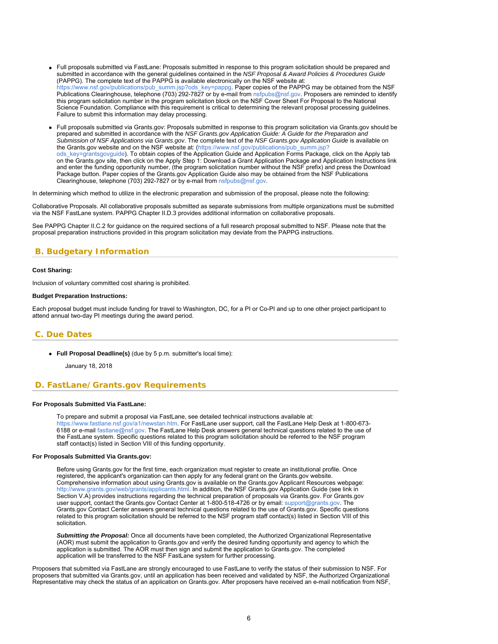- Full proposals submitted via FastLane: Proposals submitted in response to this program solicitation should be prepared and submitted in accordance with the general guidelines contained in the *NSF Proposal & Award Policies & Procedures Guide* (PAPPG). The complete text of the PAPPG is available electronically on the NSF website at: [https://www.nsf.gov/publications/pub\\_summ.jsp?ods\\_key=pappg.](https://www.nsf.gov/publications/pub_summ.jsp?ods_key=pappg) Paper copies of the PAPPG may be obtained from the NSF Publications Clearinghouse, telephone (703) 292-7827 or by e-mail from [nsfpubs@nsf.gov](mailto:nsfpubs@nsf.gov). Proposers are reminded to identify this program solicitation number in the program solicitation block on the NSF Cover Sheet For Proposal to the National Science Foundation. Compliance with this requirement is critical to determining the relevant proposal processing guidelines. Failure to submit this information may delay processing.
- Full proposals submitted via Grants.gov: Proposals submitted in response to this program solicitation via Grants.gov should be prepared and submitted in accordance with the *NSF Grants.gov Application Guide: A Guide for the Preparation and Submission of NSF Applications via Grants.gov*. The complete text of the *NSF Grants.gov Application Guide* is available on the Grants.gov website and on the NSF website at: [\(https://www.nsf.gov/publications/pub\\_summ.jsp?](https://www.nsf.gov/publications/pub_summ.jsp?ods_key=grantsgovguide) [ods\\_key=grantsgovguide](https://www.nsf.gov/publications/pub_summ.jsp?ods_key=grantsgovguide)). To obtain copies of the Application Guide and Application Forms Package, click on the Apply tab on the Grants.gov site, then click on the Apply Step 1: Download a Grant Application Package and Application Instructions link and enter the funding opportunity number, (the program solicitation number without the NSF prefix) and press the Download Package button. Paper copies of the Grants.gov Application Guide also may be obtained from the NSF Publications Clearinghouse, telephone (703) 292-7827 or by e-mail from [nsfpubs@nsf.gov](mailto:nsfpubs@nsf.gov).

In determining which method to utilize in the electronic preparation and submission of the proposal, please note the following:

Collaborative Proposals. All collaborative proposals submitted as separate submissions from multiple organizations must be submitted via the NSF FastLane system. PAPPG Chapter II.D.3 provides additional information on collaborative proposals.

See PAPPG Chapter II.C.2 for guidance on the required sections of a full research proposal submitted to NSF. Please note that the proposal preparation instructions provided in this program solicitation may deviate from the PAPPG instructions.

# <span id="page-5-0"></span>**B. Budgetary Information**

#### **Cost Sharing:**

Inclusion of voluntary committed cost sharing is prohibited.

### **Budget Preparation Instructions:**

Each proposal budget must include funding for travel to Washington, DC, for a PI or Co-PI and up to one other project participant to attend annual two-day PI meetings during the award period.

### <span id="page-5-1"></span>**C. Due Dates**

**Full Proposal Deadline(s)** (due by 5 p.m. submitter's local time):

January 18, 2018

### <span id="page-5-2"></span>**D. FastLane/Grants.gov Requirements**

### **For Proposals Submitted Via FastLane:**

To prepare and submit a proposal via FastLane, see detailed technical instructions available at: <https://www.fastlane.nsf.gov/a1/newstan.htm>. For FastLane user support, call the FastLane Help Desk at 1-800-673- 6188 or e-mail [fastlane@nsf.gov](mailto:fastlane@nsf.gov). The FastLane Help Desk answers general technical questions related to the use of the FastLane system. Specific questions related to this program solicitation should be referred to the NSF program staff contact(s) listed in Section VIII of this funding opportunity.

#### **For Proposals Submitted Via Grants.gov:**

Before using Grants.gov for the first time, each organization must register to create an institutional profile. Once registered, the applicant's organization can then apply for any federal grant on the Grants.gov website. Comprehensive information about using Grants.gov is available on the Grants.gov Applicant Resources webpage: [http://www.grants.gov/web/grants/applicants.html.](http://www.grants.gov/web/grants/applicants.html) In addition, the NSF Grants.gov Application Guide (see link in Section V.A) provides instructions regarding the technical preparation of proposals via Grants.gov. For Grants.gov user support, contact the Grants.gov Contact Center at 1-800-518-4726 or by email: [support@grants.gov.](mailto:support@grants.gov) The Grants.gov Contact Center answers general technical questions related to the use of Grants.gov. Specific questions related to this program solicitation should be referred to the NSF program staff contact(s) listed in Section VIII of this solicitation.

*Submitting the Proposal:* Once all documents have been completed, the Authorized Organizational Representative (AOR) must submit the application to Grants.gov and verify the desired funding opportunity and agency to which the application is submitted. The AOR must then sign and submit the application to Grants.gov. The completed application will be transferred to the NSF FastLane system for further processing.

Proposers that submitted via FastLane are strongly encouraged to use FastLane to verify the status of their submission to NSF. For proposers that submitted via Grants.gov, until an application has been received and validated by NSF, the Authorized Organizational Representative may check the status of an application on Grants.gov. After proposers have received an e-mail notification from NSF,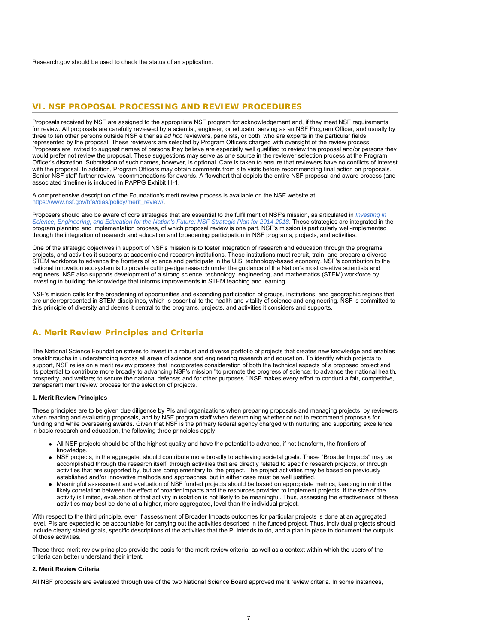<span id="page-6-0"></span>Research.gov should be used to check the status of an application.

### **VI. NSF PROPOSAL PROCESSING AND REVIEW PROCEDURES**

Proposals received by NSF are assigned to the appropriate NSF program for acknowledgement and, if they meet NSF requirements, for review. All proposals are carefully reviewed by a scientist, engineer, or educator serving as an NSF Program Officer, and usually by three to ten other persons outside NSF either as *ad hoc* reviewers, panelists, or both, who are experts in the particular fields represented by the proposal. These reviewers are selected by Program Officers charged with oversight of the review process. Proposers are invited to suggest names of persons they believe are especially well qualified to review the proposal and/or persons they would prefer not review the proposal. These suggestions may serve as one source in the reviewer selection process at the Program Officer's discretion. Submission of such names, however, is optional. Care is taken to ensure that reviewers have no conflicts of interest with the proposal. In addition, Program Officers may obtain comments from site visits before recommending final action on proposals. Senior NSF staff further review recommendations for awards. A flowchart that depicts the entire NSF proposal and award process (and associated timeline) is included in PAPPG Exhibit III-1.

A comprehensive description of the Foundation's merit review process is available on the NSF website at: [https://www.nsf.gov/bfa/dias/policy/merit\\_review/](https://www.nsf.gov/bfa/dias/policy/merit_review/).

Proposers should also be aware of core strategies that are essential to the fulfillment of NSF's mission, as articulated in *[Investing in](https://www.nsf.gov/publications/pub_summ.jsp?ods_key=nsf14043) [Science, Engineering, and Education for the Nation's Future: NSF Strategic Plan for 2014-2018](https://www.nsf.gov/publications/pub_summ.jsp?ods_key=nsf14043)*. These strategies are integrated in the program planning and implementation process, of which proposal review is one part. NSF's mission is particularly well-implemented through the integration of research and education and broadening participation in NSF programs, projects, and activities.

One of the strategic objectives in support of NSF's mission is to foster integration of research and education through the programs, projects, and activities it supports at academic and research institutions. These institutions must recruit, train, and prepare a diverse STEM workforce to advance the frontiers of science and participate in the U.S. technology-based economy. NSF's contribution to the national innovation ecosystem is to provide cutting-edge research under the guidance of the Nation's most creative scientists and engineers. NSF also supports development of a strong science, technology, engineering, and mathematics (STEM) workforce by investing in building the knowledge that informs improvements in STEM teaching and learning.

<span id="page-6-1"></span>NSF's mission calls for the broadening of opportunities and expanding participation of groups, institutions, and geographic regions that are underrepresented in STEM disciplines, which is essential to the health and vitality of science and engineering. NSF is committed to this principle of diversity and deems it central to the programs, projects, and activities it considers and supports.

# **A. Merit Review Principles and Criteria**

The National Science Foundation strives to invest in a robust and diverse portfolio of projects that creates new knowledge and enables breakthroughs in understanding across all areas of science and engineering research and education. To identify which projects to support, NSF relies on a merit review process that incorporates consideration of both the technical aspects of a proposed project and its potential to contribute more broadly to advancing NSF's mission "to promote the progress of science; to advance the national health, prosperity, and welfare; to secure the national defense; and for other purposes." NSF makes every effort to conduct a fair, competitive, transparent merit review process for the selection of projects.

### **1. Merit Review Principles**

These principles are to be given due diligence by PIs and organizations when preparing proposals and managing projects, by reviewers when reading and evaluating proposals, and by NSF program staff when determining whether or not to recommend proposals for funding and while overseeing awards. Given that NSF is the primary federal agency charged with nurturing and supporting excellence in basic research and education, the following three principles apply:

- All NSF projects should be of the highest quality and have the potential to advance, if not transform, the frontiers of knowledge.
- NSF projects, in the aggregate, should contribute more broadly to achieving societal goals. These "Broader Impacts" may be accomplished through the research itself, through activities that are directly related to specific research projects, or through activities that are supported by, but are complementary to, the project. The project activities may be based on previously established and/or innovative methods and approaches, but in either case must be well justified.
- Meaningful assessment and evaluation of NSF funded projects should be based on appropriate metrics, keeping in mind the likely correlation between the effect of broader impacts and the resources provided to implement projects. If the size of the activity is limited, evaluation of that activity in isolation is not likely to be meaningful. Thus, assessing the effectiveness of these activities may best be done at a higher, more aggregated, level than the individual project.

With respect to the third principle, even if assessment of Broader Impacts outcomes for particular projects is done at an aggregated level, PIs are expected to be accountable for carrying out the activities described in the funded project. Thus, individual projects should include clearly stated goals, specific descriptions of the activities that the PI intends to do, and a plan in place to document the outputs of those activities.

These three merit review principles provide the basis for the merit review criteria, as well as a context within which the users of the criteria can better understand their intent.

### **2. Merit Review Criteria**

All NSF proposals are evaluated through use of the two National Science Board approved merit review criteria. In some instances,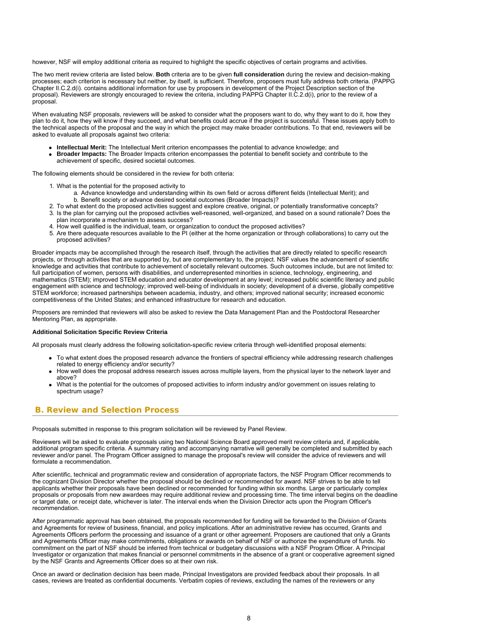however, NSF will employ additional criteria as required to highlight the specific objectives of certain programs and activities.

The two merit review criteria are listed below. **Both** criteria are to be given **full consideration** during the review and decision-making processes; each criterion is necessary but neither, by itself, is sufficient. Therefore, proposers must fully address both criteria. (PAPPG Chapter II.C.2.d(i). contains additional information for use by proposers in development of the Project Description section of the proposal). Reviewers are strongly encouraged to review the criteria, including PAPPG Chapter II.C.2.d(i), prior to the review of a proposal.

When evaluating NSF proposals, reviewers will be asked to consider what the proposers want to do, why they want to do it, how they plan to do it, how they will know if they succeed, and what benefits could accrue if the project is successful. These issues apply both to the technical aspects of the proposal and the way in which the project may make broader contributions. To that end, reviewers will be asked to evaluate all proposals against two criteria:

- **Intellectual Merit:** The Intellectual Merit criterion encompasses the potential to advance knowledge; and
- **Broader Impacts:** The Broader Impacts criterion encompasses the potential to benefit society and contribute to the achievement of specific, desired societal outcomes.

The following elements should be considered in the review for both criteria:

- 1. What is the potential for the proposed activity to
	- a. Advance knowledge and understanding within its own field or across different fields (Intellectual Merit); and b. Benefit society or advance desired societal outcomes (Broader Impacts)?
- 2. To what extent do the proposed activities suggest and explore creative, original, or potentially transformative concepts? 3. Is the plan for carrying out the proposed activities well-reasoned, well-organized, and based on a sound rationale? Does the
	- plan incorporate a mechanism to assess success?
- 4. How well qualified is the individual, team, or organization to conduct the proposed activities?
- 5. Are there adequate resources available to the PI (either at the home organization or through collaborations) to carry out the proposed activities?

Broader impacts may be accomplished through the research itself, through the activities that are directly related to specific research projects, or through activities that are supported by, but are complementary to, the project. NSF values the advancement of scientific knowledge and activities that contribute to achievement of societally relevant outcomes. Such outcomes include, but are not limited to: full participation of women, persons with disabilities, and underrepresented minorities in science, technology, engineering, and mathematics (STEM); improved STEM education and educator development at any level; increased public scientific literacy and public engagement with science and technology; improved well-being of individuals in society; development of a diverse, globally competitive STEM workforce; increased partnerships between academia, industry, and others; improved national security; increased economic competitiveness of the United States; and enhanced infrastructure for research and education.

Proposers are reminded that reviewers will also be asked to review the Data Management Plan and the Postdoctoral Researcher Mentoring Plan, as appropriate.

#### **Additional Solicitation Specific Review Criteria**

All proposals must clearly address the following solicitation-specific review criteria through well-identified proposal elements:

- To what extent does the proposed research advance the frontiers of spectral efficiency while addressing research challenges related to energy efficiency and/or security?
- How well does the proposal address research issues across multiple layers, from the physical layer to the network layer and above?
- What is the potential for the outcomes of proposed activities to inform industry and/or government on issues relating to spectrum usage?

### <span id="page-7-0"></span>**B. Review and Selection Process**

Proposals submitted in response to this program solicitation will be reviewed by Panel Review.

Reviewers will be asked to evaluate proposals using two National Science Board approved merit review criteria and, if applicable, additional program specific criteria. A summary rating and accompanying narrative will generally be completed and submitted by each reviewer and/or panel. The Program Officer assigned to manage the proposal's review will consider the advice of reviewers and will formulate a recommendation.

After scientific, technical and programmatic review and consideration of appropriate factors, the NSF Program Officer recommends to the cognizant Division Director whether the proposal should be declined or recommended for award. NSF strives to be able to tell applicants whether their proposals have been declined or recommended for funding within six months. Large or particularly complex proposals or proposals from new awardees may require additional review and processing time. The time interval begins on the deadline or target date, or receipt date, whichever is later. The interval ends when the Division Director acts upon the Program Officer's recommendation.

After programmatic approval has been obtained, the proposals recommended for funding will be forwarded to the Division of Grants and Agreements for review of business, financial, and policy implications. After an administrative review has occurred, Grants and Agreements Officers perform the processing and issuance of a grant or other agreement. Proposers are cautioned that only a Grants and Agreements Officer may make commitments, obligations or awards on behalf of NSF or authorize the expenditure of funds. No commitment on the part of NSF should be inferred from technical or budgetary discussions with a NSF Program Officer. A Principal Investigator or organization that makes financial or personnel commitments in the absence of a grant or cooperative agreement signed by the NSF Grants and Agreements Officer does so at their own risk.

Once an award or declination decision has been made, Principal Investigators are provided feedback about their proposals. In all cases, reviews are treated as confidential documents. Verbatim copies of reviews, excluding the names of the reviewers or any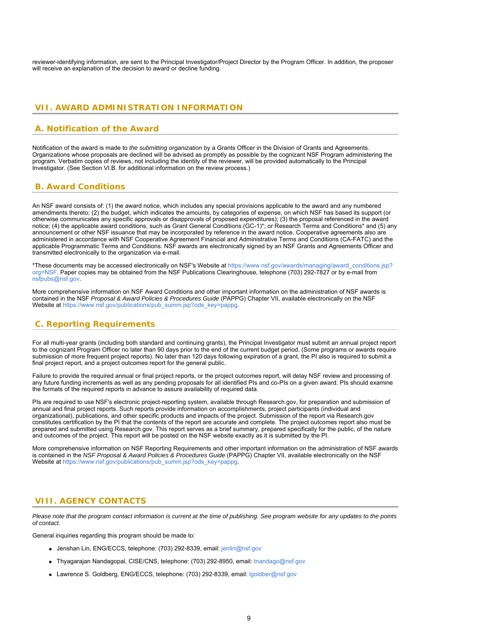reviewer-identifying information, are sent to the Principal Investigator/Project Director by the Program Officer. In addition, the proposer will receive an explanation of the decision to award or decline funding.

# <span id="page-8-0"></span>**VII. AWARD ADMINISTRATION INFORMATION**

### <span id="page-8-1"></span>**A. Notification of the Award**

Notification of the award is made to *the submitting organization* by a Grants Officer in the Division of Grants and Agreements. Organizations whose proposals are declined will be advised as promptly as possible by the cognizant NSF Program administering the program. Verbatim copies of reviews, not including the identity of the reviewer, will be provided automatically to the Principal Investigator. (See Section VI.B. for additional information on the review process.)

### <span id="page-8-2"></span>**B. Award Conditions**

An NSF award consists of: (1) the award notice, which includes any special provisions applicable to the award and any numbered amendments thereto; (2) the budget, which indicates the amounts, by categories of expense, on which NSF has based its support (or otherwise communicates any specific approvals or disapprovals of proposed expenditures); (3) the proposal referenced in the award notice; (4) the applicable award conditions, such as Grant General Conditions (GC-1)\*; or Research Terms and Conditions\* and (5) any announcement or other NSF issuance that may be incorporated by reference in the award notice. Cooperative agreements also are administered in accordance with NSF Cooperative Agreement Financial and Administrative Terms and Conditions (CA-FATC) and the applicable Programmatic Terms and Conditions. NSF awards are electronically signed by an NSF Grants and Agreements Officer and transmitted electronically to the organization via e-mail.

\*These documents may be accessed electronically on NSF's Website at [https://www.nsf.gov/awards/managing/award\\_conditions.jsp?](https://www.nsf.gov/awards/managing/award_conditions.jsp?org=NSF) [org=NSF.](https://www.nsf.gov/awards/managing/award_conditions.jsp?org=NSF) Paper copies may be obtained from the NSF Publications Clearinghouse, telephone (703) 292-7827 or by e-mail from [nsfpubs@nsf.gov.](mailto:nsfpubs@nsf.gov)

More comprehensive information on NSF Award Conditions and other important information on the administration of NSF awards is contained in the NSF *Proposal & Award Policies & Procedures Guide* (PAPPG) Chapter VII, available electronically on the NSF Website at [https://www.nsf.gov/publications/pub\\_summ.jsp?ods\\_key=pappg](https://www.nsf.gov/publications/pub_summ.jsp?ods_key=pappg).

# <span id="page-8-3"></span>**C. Reporting Requirements**

For all multi-year grants (including both standard and continuing grants), the Principal Investigator must submit an annual project report to the cognizant Program Officer no later than 90 days prior to the end of the current budget period. (Some programs or awards require submission of more frequent project reports). No later than 120 days following expiration of a grant, the PI also is required to submit a final project report, and a project outcomes report for the general public.

Failure to provide the required annual or final project reports, or the project outcomes report, will delay NSF review and processing of any future funding increments as well as any pending proposals for all identified PIs and co-PIs on a given award. PIs should examine the formats of the required reports in advance to assure availability of required data.

PIs are required to use NSF's electronic project-reporting system, available through Research.gov, for preparation and submission of annual and final project reports. Such reports provide information on accomplishments, project participants (individual and organizational), publications, and other specific products and impacts of the project. Submission of the report via Research.gov constitutes certification by the PI that the contents of the report are accurate and complete. The project outcomes report also must be prepared and submitted using Research.gov. This report serves as a brief summary, prepared specifically for the public, of the nature and outcomes of the project. This report will be posted on the NSF website exactly as it is submitted by the PI.

More comprehensive information on NSF Reporting Requirements and other important information on the administration of NSF awards is contained in the *NSF Proposal & Award Policies & Procedures Guide* (PAPPG) Chapter VII, available electronically on the NSF Website at [https://www.nsf.gov/publications/pub\\_summ.jsp?ods\\_key=pappg](https://www.nsf.gov/publications/pub_summ.jsp?ods_key=pappg).

### <span id="page-8-4"></span>**VIII. AGENCY CONTACTS**

*Please note that the program contact information is current at the time of publishing. See program website for any updates to the points of contact.*

General inquiries regarding this program should be made to:

- Jenshan Lin, ENG/ECCS, telephone: (703) 292-8339, email: [jenlin@nsf.gov](mailto:jenlin@nsf.gov)
- Thyagarajan Nandagopal, CISE/CNS, telephone: (703) 292-8950, email: [tnandago@nsf.gov](mailto:tnandago@nsf.gov)
- Lawrence S. Goldberg, ENG/ECCS, telephone: (703) 292-8339, email: [lgoldber@nsf.gov](mailto:lgoldber@nsf.gov)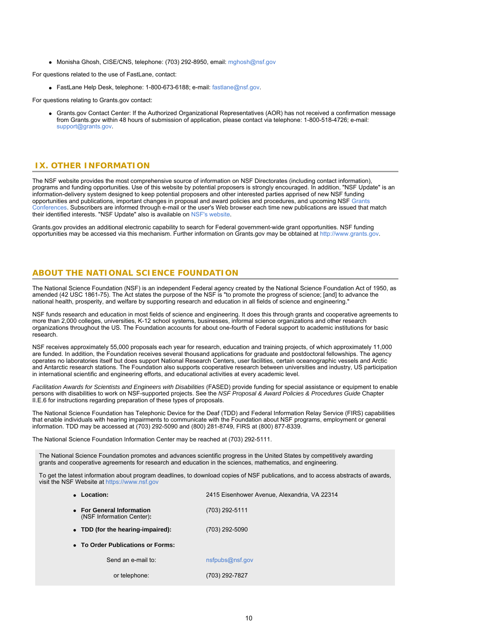Monisha Ghosh, CISE/CNS, telephone: (703) 292-8950, email: [mghosh@nsf.gov](mailto:mghosh@nsf.gov)

For questions related to the use of FastLane, contact:

• FastLane Help Desk, telephone: 1-800-673-6188; e-mail: [fastlane@nsf.gov](mailto:fastlane@nsf.gov).

For questions relating to Grants.gov contact:

Grants.gov Contact Center: If the Authorized Organizational Representatives (AOR) has not received a confirmation message from Grants.gov within 48 hours of submission of application, please contact via telephone: 1-800-518-4726; e-mail: [support@grants.gov.](mailto:support@grants.gov)

# <span id="page-9-0"></span>**IX. OTHER INFORMATION**

The NSF website provides the most comprehensive source of information on NSF Directorates (including contact information), programs and funding opportunities. Use of this website by potential proposers is strongly encouraged. In addition, "NSF Update" is an information-delivery system designed to keep potential proposers and other interested parties apprised of new NSF funding opportunities and publications, important changes in proposal and award policies and procedures, and upcoming NSF [Grants](https://www.nsf.gov/bfa/dias/policy/outreach.jsp) [Conferences](https://www.nsf.gov/bfa/dias/policy/outreach.jsp). Subscribers are informed through e-mail or the user's Web browser each time new publications are issued that match their identified interests. "NSF Update" also is available on [NSF's website](https://www.nsf.gov/cgi-bin/good-bye?https://public.govdelivery.com/accounts/USNSF/subscriber/new?topic_id=USNSF_179).

Grants.gov provides an additional electronic capability to search for Federal government-wide grant opportunities. NSF funding opportunities may be accessed via this mechanism. Further information on Grants.gov may be obtained at [http://www.grants.gov](http://www.grants.gov/).

# **ABOUT THE NATIONAL SCIENCE FOUNDATION**

The National Science Foundation (NSF) is an independent Federal agency created by the National Science Foundation Act of 1950, as amended (42 USC 1861-75). The Act states the purpose of the NSF is "to promote the progress of science; [and] to advance the national health, prosperity, and welfare by supporting research and education in all fields of science and engineering."

NSF funds research and education in most fields of science and engineering. It does this through grants and cooperative agreements to more than 2,000 colleges, universities, K-12 school systems, businesses, informal science organizations and other research organizations throughout the US. The Foundation accounts for about one-fourth of Federal support to academic institutions for basic research.

NSF receives approximately 55,000 proposals each year for research, education and training projects, of which approximately 11,000 are funded. In addition, the Foundation receives several thousand applications for graduate and postdoctoral fellowships. The agency operates no laboratories itself but does support National Research Centers, user facilities, certain oceanographic vessels and Arctic and Antarctic research stations. The Foundation also supports cooperative research between universities and industry, US participation in international scientific and engineering efforts, and educational activities at every academic level.

*Facilitation Awards for Scientists and Engineers with Disabilities* (FASED) provide funding for special assistance or equipment to enable persons with disabilities to work on NSF-supported projects. See the *NSF Proposal & Award Policies & Procedures Guide* Chapter II.E.6 for instructions regarding preparation of these types of proposals.

The National Science Foundation has Telephonic Device for the Deaf (TDD) and Federal Information Relay Service (FIRS) capabilities that enable individuals with hearing impairments to communicate with the Foundation about NSF programs, employment or general information. TDD may be accessed at (703) 292-5090 and (800) 281-8749, FIRS at (800) 877-8339.

The National Science Foundation Information Center may be reached at (703) 292-5111.

The National Science Foundation promotes and advances scientific progress in the United States by competitively awarding grants and cooperative agreements for research and education in the sciences, mathematics, and engineering.

To get the latest information about program deadlines, to download copies of NSF publications, and to access abstracts of awards, visit the NSF Website at [https://www.nsf.gov](https://www.nsf.gov/)

| Location:<br>$\bullet$                                 | 2415 Eisenhower Avenue, Alexandria, VA 22314 |
|--------------------------------------------------------|----------------------------------------------|
| • For General Information<br>(NSF Information Center): | (703) 292-5111                               |
| • TDD (for the hearing-impaired):                      | (703) 292-5090                               |
| • To Order Publications or Forms:                      |                                              |
| Send an e-mail to:                                     | nsfpubs@nsf.gov                              |
| or telephone:                                          | (703) 292-7827                               |